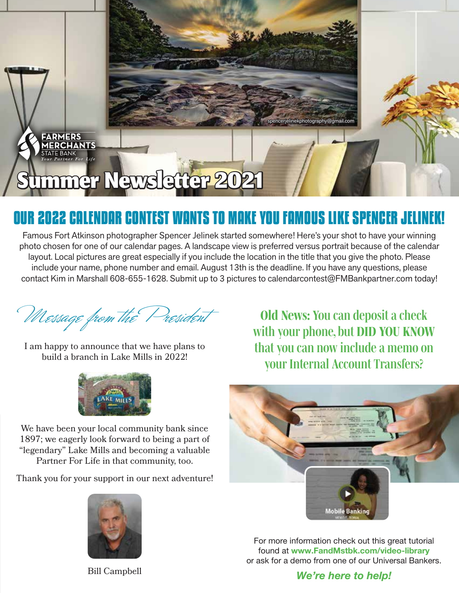# Summer Newsletter 2021

FARMERS **MERCHANTS** <u>. . . . . . . . . .</u><br>STATE BANK

# **OUR 2022 CALENDAR CONTEST WANTS TO MAKE YOU FAMOUS LIKE SPENCER JELINEK!**

Famous Fort Atkinson photographer Spencer Jelinek started somewhere! Here's your shot to have your winning photo chosen for one of our calendar pages. A landscape view is preferred versus portrait because of the calendar layout. Local pictures are great especially if you include the location in the title that you give the photo. Please include your name, phone number and email. August 13th is the deadline. If you have any questions, please contact Kim in Marshall 608-655-1628. Submit up to 3 pictures to calendarcontest@FMBankpartner.com today!

Message from the President

I am happy to announce that we have plans to build a branch in Lake Mills in 2022!



We have been your local community bank since 1897; we eagerly look forward to being a part of "legendary" Lake Mills and becoming a valuable Partner For Life in that community, too.

Thank you for your support in our next adventure!



Bill Campbell

*Old News: You can deposit a check with your phone, but DID YOU KNOW that you can now include a memo on your Internal Account Transfers?*

ekphotography@gmail.com



For more information check out this great tutorial found at www.FandMstbk.com/video-library or ask for a demo from one of our Universal Bankers.

#### *We're here to help!*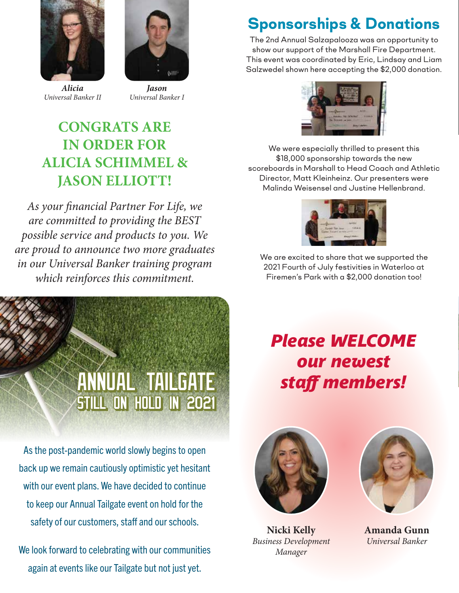



*Alicia Universal Banker II*

*Jason Universal Banker I*

## **CONGRATS ARE IN ORDER FOR ALICIA SCHIMMEL & JASON ELLIOTT!**

*As your financial Partner For Life, we are committed to providing the BEST possible service and products to you. We are proud to announce two more graduates in our Universal Banker training program which reinforces this commitment.*



As the post-pandemic world slowly begins to open back up we remain cautiously optimistic yet hesitant with our event plans. We have decided to continue to keep our Annual Tailgate event on hold for the safety of our customers, staff and our schools.

We look forward to celebrating with our communities again at events like our Tailgate but not just yet.

# **Sponsorships & Donations**

The 2nd Annual Salzapalooza was an opportunity to show our support of the Marshall Fire Department. This event was coordinated by Eric, Lindsay and Liam Salzwedel shown here accepting the \$2,000 donation.



We were especially thrilled to present this \$18,000 sponsorship towards the new scoreboards in Marshall to Head Coach and Athletic Director, Matt Kleinheinz. Our presenters were Malinda Weisensel and Justine Hellenbrand.



We are excited to share that we supported the 2021 Fourth of July festivities in Waterloo at Firemen's Park with a \$2,000 donation too!

# *Please WELCOME our newest staff members!*



**Nicki Kelly** *Business Development Manager*



**Amanda Gunn** *Universal Banker*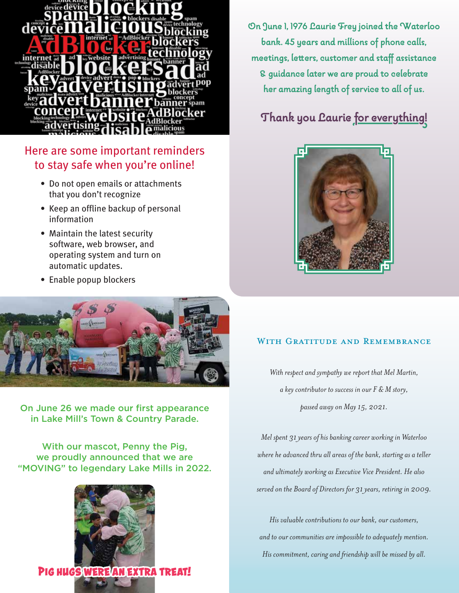

### Here are some important reminders to stay safe when you're online!

- Do not open emails or attachments that you don't recognize
- Keep an offline backup of personal information
- Maintain the latest security software, web browser, and operating system and turn on automatic updates.
- Enable popup blockers



On June 26 we made our first appearance in Lake Mill's Town & Country Parade.

With our mascot, Penny the Pig, we proudly announced that we are "MOVING" to legendary Lake Mills in 2022.



**On June 1, 1976 Laurie Frey joined the Waterloo bank. 45 years and millions of phone calls, meetings, letters, customer and staff assistance & guidance later we are proud to celebrate her amazing length of service to all of us.**

### **Thank you Laurie for everything!**



#### WITH GRATITUDE AND REMEMBRANCE

*With respect and sympathy we report that Mel Martin, a key contributor to success in our F & M story, passed away on May 15, 2021.*

*Mel spent 31 years of his banking career working in Waterloo where he advanced thru all areas of the bank, starting as a teller and ultimately working as Executive Vice President. He also served on the Board of Directors for 31 years, retiring in 2009.*

*His valuable contributions to our bank, our customers, and to our communities are impossible to adequately mention. His commitment, caring and friendship will be missed by all.*